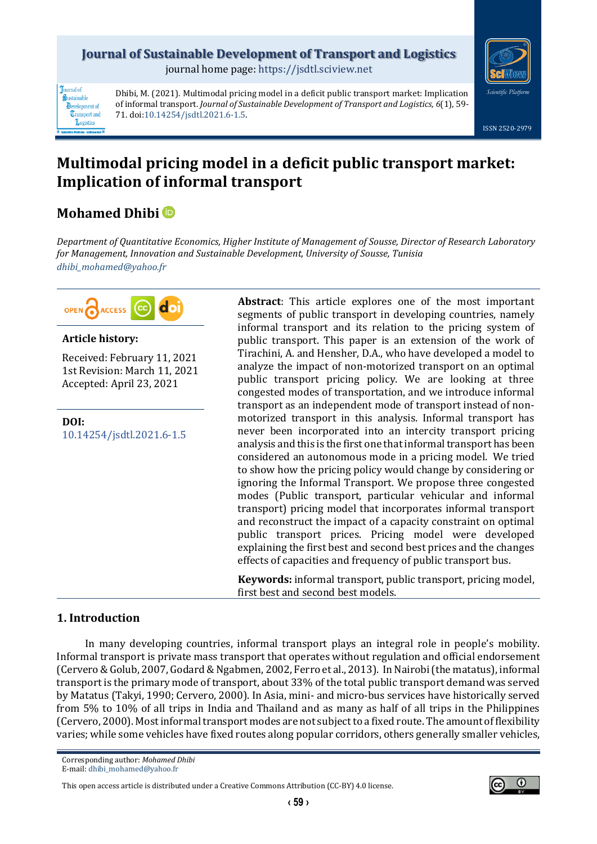## **Journal of Sustainable Development of Transport and Logistics**

journal home page: [https://jsdtl.sciview.net](https://jsdtl.sciview.net/)



**Tournal** of Sustainable **D**evelopment of **Transport** and Logistics

Dhibi, M. (2021). Multimodal pricing model in a deficit public transport market: Implication of informal transport. *Journal of Sustainable Development of Transport and Logistics, 6*(1), 59- 71. do[i:10.14254/jsdtl.2021.6-1.5.](https://doi.org/10.14254/jsdtl.2021.6-1.5)

# **Multimodal pricing model in a deficit public transport market: Implication of informal transport**

# **Mohamed Dhibi**

*Department of Quantitative Economics, Higher Institute of Management of Sousse, Director of Research Laboratory for Management, Innovation and Sustainable Development, University of Sousse, Tunisia [dhibi\\_mohamed@yahoo.fr](mailto:dhibi_mohamed@yahoo.fr)*



### **Article history:**

Received: February 11, 2021 1st Revision: March 11, 2021 Accepted: April 23, 2021

**DOI:** [10.14254/jsdtl.2021.6-1.5](https://doi.org/10.14254/jsdtl.2021.6-1.5) **Abstract**: This article explores one of the most important segments of public transport in developing countries, namely informal transport and its relation to the pricing system of public transport. This paper is an extension of the work of Tirachini, A. and Hensher, D.A., who have developed a model to analyze the impact of non-motorized transport on an optimal public transport pricing policy. We are looking at three congested modes of transportation, and we introduce informal transport as an independent mode of transport instead of nonmotorized transport in this analysis. Informal transport has never been incorporated into an intercity transport pricing analysis and this is the first one that informal transport has been considered an autonomous mode in a pricing model. We tried to show how the pricing policy would change by considering or ignoring the Informal Transport. We propose three congested modes (Public transport, particular vehicular and informal transport) pricing model that incorporates informal transport and reconstruct the impact of a capacity constraint on optimal public transport prices. Pricing model were developed explaining the first best and second best prices and the changes effects of capacities and frequency of public transport bus.

**Keywords:** informal transport, public transport, pricing model, first best and second best models.

## **1. Introduction**

In many developing countries, informal transport plays an integral role in people's mobility. Informal transport is private mass transport that operates without regulation and official endorsement (Cervero & Golub, 2007, Godard& Ngabmen, 2002, Ferro et al., 2013). In Nairobi (the matatus), informal transport is the primary mode of transport, about 33% of the total public transport demand was served by Matatus (Takyi, 1990; Cervero, 2000). In Asia, mini- and micro-bus services have historically served from 5% to 10% of all trips in India and Thailand and as many as half of all trips in the Philippines (Cervero, 2000). Most informal transport modes are not subject to a fixed route. The amount of flexibility varies; while some vehicles have fixed routes along popular corridors, others generally smaller vehicles,

Corresponding author: *Mohamed Dhibi* E-mail[: dhibi\\_mohamed@yahoo.fr](mailto:dhibi_mohamed@yahoo.fr)

This open access article is distributed under [a Creative Commons Attribution \(CC-BY\) 4.0 license.](http://creativecommons.org/licenses/by/4.0/)

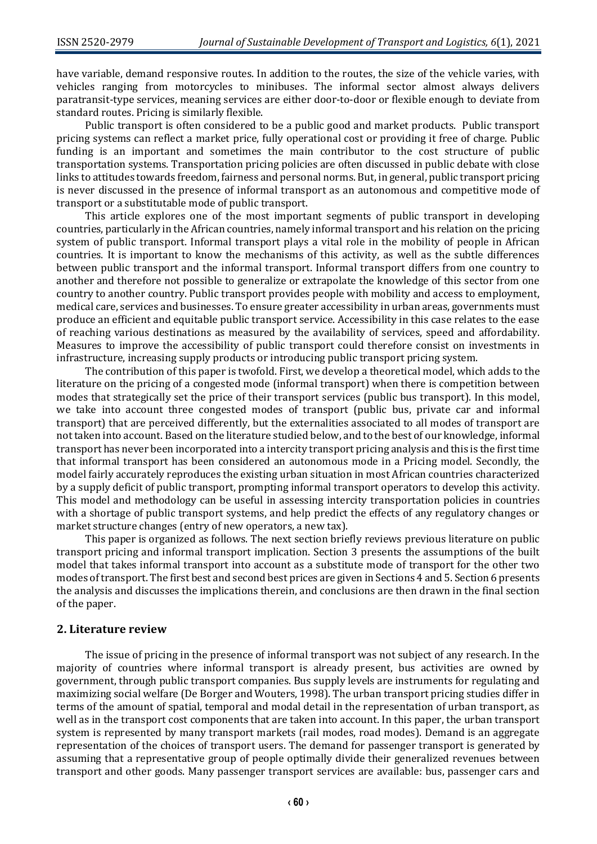have variable, demand responsive routes. In addition to the routes, the size of the vehicle varies, with vehicles ranging from motorcycles to minibuses. The informal sector almost always delivers paratransit-type services, meaning services are either door-to-door or flexible enough to deviate from standard routes. Pricing is similarly flexible.

Public transport is often considered to be a public good and market products. Public transport pricing systems can reflect a market price, fully operational cost or providing it free of charge. Public funding is an important and sometimes the main contributor to the cost structure of public transportation systems. Transportation pricing policies are often discussed in public debate with close links to attitudes towards freedom, fairness and personal norms. But, in general, public transport pricing is never discussed in the presence of informal transport as an autonomous and competitive mode of transport or a substitutable mode of public transport.

This article explores one of the most important segments of public transport in developing countries, particularly in the African countries, namely informal transport and his relation on the pricing system of public transport. Informal transport plays a vital role in the mobility of people in African countries. It is important to know the mechanisms of this activity, as well as the subtle differences between public transport and the informal transport. Informal transport differs from one country to another and therefore not possible to generalize or extrapolate the knowledge of this sector from one country to another country. Public transport provides people with mobility and access to employment, medical care, services and businesses. To ensure greater accessibility in urban areas, governments must produce an efficient and equitable public transport service. Accessibility in this case relates to the ease of reaching various destinations as measured by the availability of services, speed and affordability. Measures to improve the accessibility of public transport could therefore consist on investments in infrastructure, increasing supply products or introducing public transport pricing system.

The contribution of this paper is twofold. First, we develop a theoretical model, which adds to the literature on the pricing of a congested mode (informal transport) when there is competition between modes that strategically set the price of their transport services (public bus transport). In this model, we take into account three congested modes of transport (public bus, private car and informal transport) that are perceived differently, but the externalities associated to all modes of transport are not taken into account. Based on the literature studied below, and to the best of our knowledge, informal transport has never been incorporated into a intercity transport pricing analysis and this is the first time that informal transport has been considered an autonomous mode in a Pricing model. Secondly, the model fairly accurately reproduces the existing urban situation in most African countries characterized by a supply deficit of public transport, prompting informal transport operators to develop this activity. This model and methodology can be useful in assessing intercity transportation policies in countries with a shortage of public transport systems, and help predict the effects of any regulatory changes or market structure changes (entry of new operators, a new tax).

This paper is organized as follows. The next section briefly reviews previous literature on public transport pricing and informal transport implication. Section 3 presents the assumptions of the built model that takes informal transport into account as a substitute mode of transport for the other two modes of transport. The first best and second best prices are given in Sections 4 and 5. Section 6 presents the analysis and discusses the implications therein, and conclusions are then drawn in the final section of the paper.

#### **2. Literature review**

The issue of pricing in the presence of informal transport was not subject of any research. In the majority of countries where informal transport is already present, bus activities are owned by government, through public transport companies. Bus supply levels are instruments for regulating and maximizing social welfare (De Borger and Wouters, 1998). The urban transport pricing studies differ in terms of the amount of spatial, temporal and modal detail in the representation of urban transport, as well as in the transport cost components that are taken into account. In this paper, the urban transport system is represented by many transport markets (rail modes, road modes). Demand is an aggregate representation of the choices of transport users. The demand for passenger transport is generated by assuming that a representative group of people optimally divide their generalized revenues between transport and other goods. Many passenger transport services are available: bus, passenger cars and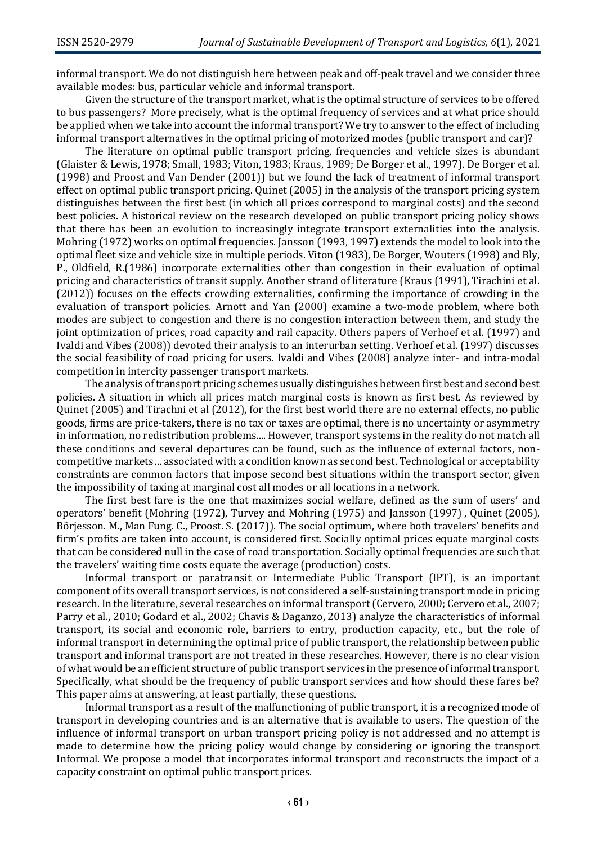informal transport. We do not distinguish here between peak and off-peak travel and we consider three available modes: bus, particular vehicle and informal transport.

Given the structure of the transport market, what is the optimal structure of services to be offered to bus passengers? More precisely, what is the optimal frequency of services and at what price should be applied when we take into account the informal transport? We try to answer to the effect of including informal transport alternatives in the optimal pricing of motorized modes (public transport and car)?

The literature on optimal public transport pricing, frequencies and vehicle sizes is abundant (Glaister & Lewis, 1978; Small, 1983; Viton, 1983; Kraus, 1989; De Borger et al., 1997). De Borger et al. (1998) and Proost and Van Dender (2001)) but we found the lack of treatment of informal transport effect on optimal public transport pricing. Quinet (2005) in the analysis of the transport pricing system distinguishes between the first best (in which all prices correspond to marginal costs) and the second best policies. A historical review on the research developed on public transport pricing policy shows that there has been an evolution to increasingly integrate transport externalities into the analysis. Mohring (1972) works on optimal frequencies. Jansson (1993, 1997) extends the model to look into the optimal fleet size and vehicle size in multiple periods. Viton (1983), De Borger, Wouters (1998) and Bly, P., Oldfield, R.(1986) incorporate externalities other than congestion in their evaluation of optimal pricing and characteristics of transit supply. Another strand of literature (Kraus (1991), Tirachini et al. (2012)) focuses on the effects crowding externalities, confirming the importance of crowding in the evaluation of transport policies. Arnott and Yan (2000) examine a two-mode problem, where both modes are subject to congestion and there is no congestion interaction between them, and study the joint optimization of prices, road capacity and rail capacity. Others papers of Verhoef et al. (1997) and Ivaldi and Vibes (2008)) devoted their analysis to an interurban setting. Verhoef et al. (1997) discusses the social feasibility of road pricing for users. Ivaldi and Vibes (2008) analyze inter- and intra-modal competition in intercity passenger transport markets.

The analysis of transport pricing schemes usually distinguishes between first best and second best policies. A situation in which all prices match marginal costs is known as first best. As reviewed by Quinet (2005) and Tirachni et al (2012), for the first best world there are no external effects, no public goods, firms are price-takers, there is no tax or taxes are optimal, there is no uncertainty or asymmetry in information, no redistribution problems.... However, transport systems in the reality do not match all these conditions and several departures can be found, such as the influence of external factors, noncompetitive markets… associated with a condition known as second best. Technological or acceptability constraints are common factors that impose second best situations within the transport sector, given the impossibility of taxing at marginal cost all modes or all locations in a network.

The first best fare is the one that maximizes social welfare, defined as the sum of users' and operators' benefit (Mohring (1972), Turvey and Mohring (1975) and Jansson (1997) , Quinet (2005), Börjesson. M., Man Fung. C., Proost. S. (2017)). The social optimum, where both travelers' benefits and firm's profits are taken into account, is considered first. Socially optimal prices equate marginal costs that can be considered null in the case of road transportation. Socially optimal frequencies are such that the travelers' waiting time costs equate the average (production) costs.

Informal transport or paratransit or Intermediate Public Transport (IPT), is an important component of its overall transport services, is not considered a self-sustaining transport mode in pricing research. In the literature, several researches on informal transport (Cervero, 2000; Cervero et al., 2007; Parry et al., 2010; Godard et al., 2002; Chavis & Daganzo, 2013) analyze the characteristics of informal transport, its social and economic role, barriers to entry, production capacity, etc., but the role of informal transport in determining the optimal price of public transport, the relationship between public transport and informal transport are not treated in these researches. However, there is no clear vision of what would be an efficient structure of public transport services in the presence of informal transport. Specifically, what should be the frequency of public transport services and how should these fares be? This paper aims at answering, at least partially, these questions.

Informal transport as a result of the malfunctioning of public transport, it is a recognized mode of transport in developing countries and is an alternative that is available to users. The question of the influence of informal transport on urban transport pricing policy is not addressed and no attempt is made to determine how the pricing policy would change by considering or ignoring the transport Informal. We propose a model that incorporates informal transport and reconstructs the impact of a capacity constraint on optimal public transport prices.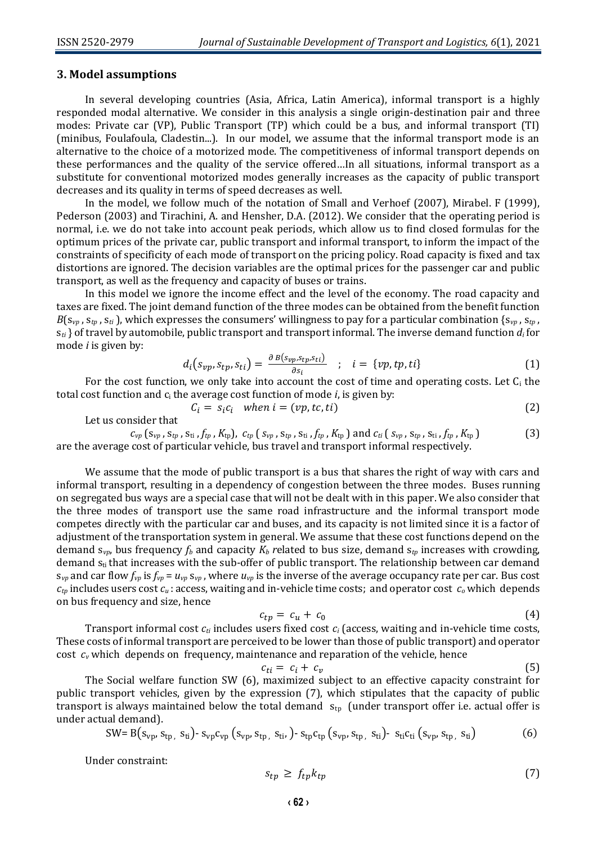#### **3. Model assumptions**

In several developing countries (Asia, Africa, Latin America), informal transport is a highly responded modal alternative. We consider in this analysis a single origin-destination pair and three modes: Private car (VP), Public Transport (TP) which could be a bus, and informal transport (TI) (minibus, Foulafoula, Cladestin...). In our model, we assume that the informal transport mode is an alternative to the choice of a motorized mode. The competitiveness of informal transport depends on these performances and the quality of the service offered…In all situations, informal transport as a substitute for conventional motorized modes generally increases as the capacity of public transport decreases and its quality in terms of speed decreases as well.

In the model, we follow much of the notation of Small and Verhoef (2007), Mirabel. F (1999), Pederson (2003) and Tirachini, A. and Hensher, D.A. (2012). We consider that the operating period is normal, i.e. we do not take into account peak periods, which allow us to find closed formulas for the optimum prices of the private car, public transport and informal transport, to inform the impact of the constraints of specificity of each mode of transport on the pricing policy. Road capacity is fixed and tax distortions are ignored. The decision variables are the optimal prices for the passenger car and public transport, as well as the frequency and capacity of buses or trains.

In this model we ignore the income effect and the level of the economy. The road capacity and taxes are fixed. The joint demand function of the three modes can be obtained from the benefit function  $B(s_{vp}, s_{tp}, s_{ti})$ , which expresses the consumers' willingness to pay for a particular combination  $\{s_{vp}, s_{tp}, s_{tb}\}$ s*ti* } of travel by automobile, public transport and transport informal. The inverse demand function *d<sup>i</sup>* for mode *i* is given by:

$$
d_i(s_{vp}, s_{tp}, s_{ti}) = \frac{\partial B(s_{vp}, s_{tp}, s_{ti})}{\partial s_i} \quad ; \quad i = \{vp, tp, ti\}
$$
 (1)

For the cost function, we only take into account the cost of time and operating costs. Let  $C_i$  the total cost function and c<sup>i</sup> the average cost function of mode *i*, is given by:

$$
C_i = s_i c_i \quad when \quad i = (vp, tc, ti) \tag{2}
$$

Let us consider that

$$
c_{vp}(s_{vp}, s_{tp}, s_{ti}, f_{tp}, K_{tp}), c_{tp}(s_{vp}, s_{tp}, s_{ti}, f_{tp}, K_{tp}) \text{ and } c_{ti}(s_{vp}, s_{tp}, s_{ti}, f_{tp}, K_{tp})
$$
(3)  
are the average cost of particular vehicle, bus travel and transport informal respectively.

We assume that the mode of public transport is a bus that shares the right of way with cars and informal transport, resulting in a dependency of congestion between the three modes. Buses running on segregated bus ways are a special case that will not be dealt with in this paper. We also consider that the three modes of transport use the same road infrastructure and the informal transport mode competes directly with the particular car and buses, and its capacity is not limited since it is a factor of adjustment of the transportation system in general. We assume that these cost functions depend on the demand s*vp*, bus frequency *f<sup>b</sup>* and capacity *K<sup>b</sup> r*elated to bus size, demand s*tp* increases with crowding, demand  $s_{ti}$  that increases with the sub-offer of public transport. The relationship between car demand  $S_{vp}$  and car flow  $f_{vp}$  is  $f_{vp} = u_{vp} s_{vp}$ , where  $u_{vp}$  is the inverse of the average occupancy rate per car. Bus cost *ctp* includes users cost *c<sup>u</sup>* : access, waiting and in-vehicle time costs; and operator cost *c<sup>o</sup>* which depends on bus frequency and size, hence

$$
c_{tp} = c_u + c_0 \tag{4}
$$

Transport informal cost *cti* includes users fixed cost *c<sup>i</sup>* (access, waiting and in-vehicle time costs, These costs of informal transport are perceived to be lower than those of public transport) and operator cost *c<sup>v</sup>* which depends on frequency, maintenance and reparation of the vehicle, hence

$$
c_{ti} = c_i + c_v \tag{5}
$$

The Social welfare function SW (6), maximized subject to an effective capacity constraint for public transport vehicles, given by the expression (7), which stipulates that the capacity of public transport is always maintained below the total demand  $s<sub>tp</sub>$  (under transport offer i.e. actual offer is under actual demand).

$$
SW = B(s_{vp}, s_{tp}, s_{ti}) - s_{vp}c_{vp} (s_{vp}, s_{tp}, s_{ti}) - s_{tp}c_{tp} (s_{vp}, s_{tp}, s_{ti}) - s_{ti}c_{ti} (s_{vp}, s_{tp}, s_{ti})
$$
 (6)

Under constraint:

$$
s_{tp} \ge f_{tp} k_{tp} \tag{7}
$$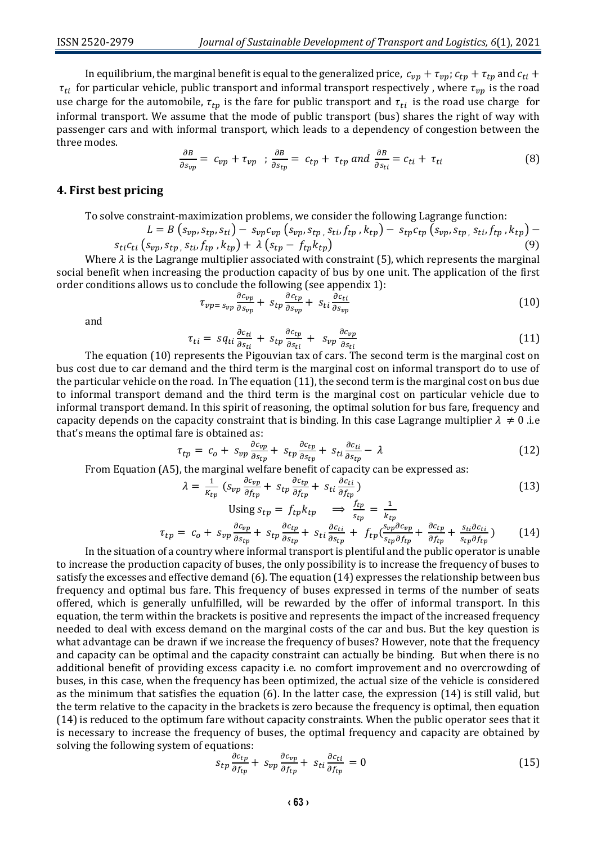In equilibrium, the marginal benefit is equal to the generalized price,  $c_{vp} + \tau_{vp}$ ;  $c_{tp} + \tau_{tp}$  and  $c_{ti}$  +  $\tau_{ti}$  for particular vehicle, public transport and informal transport respectively, where  $\tau_{vn}$  is the road use charge for the automobile,  $\tau_{tp}$  is the fare for public transport and  $\tau_{ti}$  is the road use charge for informal transport. We assume that the mode of public transport (bus) shares the right of way with passenger cars and with informal transport, which leads to a dependency of congestion between the three modes.

$$
\frac{\partial B}{\partial s_{vp}} = c_{vp} + \tau_{vp} \quad ; \quad \frac{\partial B}{\partial s_{tp}} = c_{tp} + \tau_{tp} \text{ and } \frac{\partial B}{\partial s_{ti}} = c_{ti} + \tau_{ti} \tag{8}
$$

#### **4. First best pricing**

To solve constraint-maximization problems, we consider the following Lagrange function:

$$
L = B\left(s_{vp}, s_{tp}, s_{ti}\right) - s_{vp}c_{vp}\left(s_{vp}, s_{ti}, f_{tp}, k_{tp}\right) - s_{tp}c_{tp}\left(s_{vp}, s_{tp}, s_{ti}, f_{tp}, k_{tp}\right) - s_{ti}c_{ti}\left(s_{vp}, s_{tp}, s_{ti}, f_{tp}, k_{tp}\right) + \lambda\left(s_{tp} - f_{tp}k_{tp}\right) \tag{9}
$$

Where  $\lambda$  is the Lagrange multiplier associated with constraint (5), which represents the marginal social benefit when increasing the production capacity of bus by one unit. The application of the first order conditions allows us to conclude the following (see appendix 1):

$$
\tau_{\nu p = s_{\nu p}} \frac{\partial c_{\nu p}}{\partial s_{\nu p}} + s_{tp} \frac{\partial c_{tp}}{\partial s_{\nu p}} + s_{ti} \frac{\partial c_{ti}}{\partial s_{\nu p}}
$$
(10)

and

$$
\tau_{ti} = s q_{ti} \frac{\partial c_{ti}}{\partial s_{ti}} + s_{tp} \frac{\partial c_{tp}}{\partial s_{ti}} + s_{vp} \frac{\partial c_{vp}}{\partial s_{ti}} \tag{11}
$$

The equation (10) represents the Pigouvian tax of cars. The second term is the marginal cost on bus cost due to car demand and the third term is the marginal cost on informal transport do to use of the particular vehicle on the road. In The equation (11), the second term is the marginal cost on bus due to informal transport demand and the third term is the marginal cost on particular vehicle due to informal transport demand. In this spirit of reasoning, the optimal solution for bus fare, frequency and capacity depends on the capacity constraint that is binding. In this case Lagrange multiplier  $\lambda \neq 0$  .i.e that's means the optimal fare is obtained as:

$$
\tau_{tp} = c_o + s_{vp} \frac{\partial c_{vp}}{\partial s_{tp}} + s_{tp} \frac{\partial c_{tp}}{\partial s_{tp}} + s_{ti} \frac{\partial c_{ti}}{\partial s_{tp}} - \lambda
$$
\n(12)

From Equation (A5), the marginal welfare benefit of capacity can be expressed as:

$$
\lambda = \frac{1}{K_{tp}} \left( S_{vp} \frac{\partial c_{vp}}{\partial f_{tp}} + S_{tp} \frac{\partial c_{tp}}{\partial f_{tp}} + S_{ti} \frac{\partial c_{ti}}{\partial f_{tp}} \right)
$$
\n
$$
\text{Using } s_{tp} = f_{tp} k_{tp} \implies \frac{f_{tp}}{s} = \frac{1}{k}.
$$
\n
$$
(13)
$$

$$
\tau_{tp} = c_o + s_{vp} \frac{\partial c_{vp}}{\partial s_{tp}} + s_{tp} \frac{\partial c_{tp}}{\partial s_{tp}} + s_{ti} \frac{\partial c_{ti}}{\partial s_{tp}} + f_{tp} (\frac{s_{vp} \partial c_{vp}}{s_{tp} \partial f_{tp}} + \frac{\partial c_{tp}}{\partial f_{tp}} + \frac{s_{ti} \partial c_{ti}}{s_{tp} \partial f_{tp}})
$$
(14)

In the situation of a country where informal transport is plentiful and the public operator is unable to increase the production capacity of buses, the only possibility is to increase the frequency of buses to satisfy the excesses and effective demand (6). The equation (14) expresses the relationship between bus frequency and optimal bus fare. This frequency of buses expressed in terms of the number of seats offered, which is generally unfulfilled, will be rewarded by the offer of informal transport. In this equation, the term within the brackets is positive and represents the impact of the increased frequency needed to deal with excess demand on the marginal costs of the car and bus. But the key question is what advantage can be drawn if we increase the frequency of buses? However, note that the frequency and capacity can be optimal and the capacity constraint can actually be binding. But when there is no additional benefit of providing excess capacity i.e. no comfort improvement and no overcrowding of buses, in this case, when the frequency has been optimized, the actual size of the vehicle is considered as the minimum that satisfies the equation (6). In the latter case, the expression (14) is still valid, but the term relative to the capacity in the brackets is zero because the frequency is optimal, then equation (14) is reduced to the optimum fare without capacity constraints. When the public operator sees that it is necessary to increase the frequency of buses, the optimal frequency and capacity are obtained by solving the following system of equations:

$$
s_{tp}\frac{\partial c_{tp}}{\partial f_{tp}} + s_{vp}\frac{\partial c_{vp}}{\partial f_{tp}} + s_{ti}\frac{\partial c_{ti}}{\partial f_{tp}} = 0
$$
\n(15)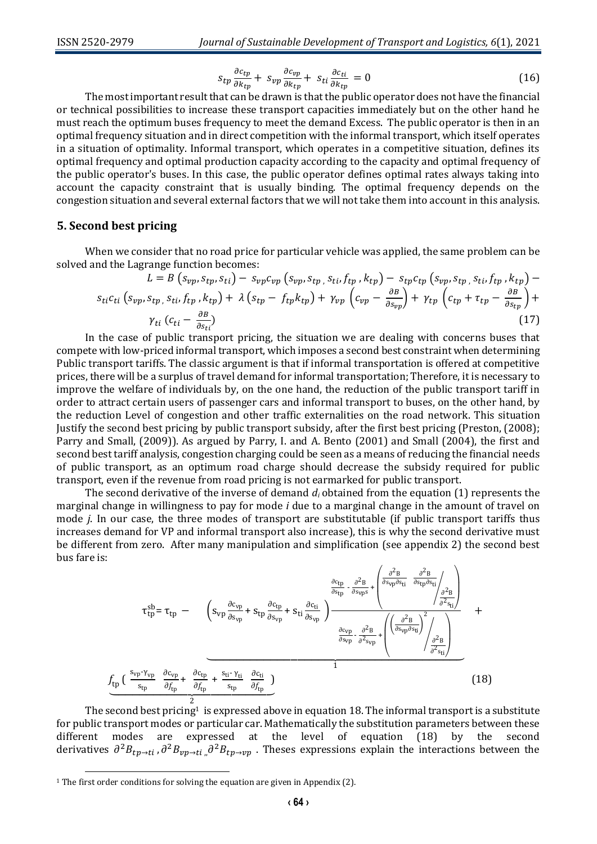$$
s_{tp} \frac{\partial c_{tp}}{\partial k_{tp}} + s_{tp} \frac{\partial c_{vp}}{\partial k_{tp}} + s_{ti} \frac{\partial c_{ti}}{\partial k_{tp}} = 0
$$
\n(16)

The most important result that can be drawn is that the public operator does not have the financial or technical possibilities to increase these transport capacities immediately but on the other hand he must reach the optimum buses frequency to meet the demand Excess. The public operator is then in an optimal frequency situation and in direct competition with the informal transport, which itself operates in a situation of optimality. Informal transport, which operates in a competitive situation, defines its optimal frequency and optimal production capacity according to the capacity and optimal frequency of the public operator's buses. In this case, the public operator defines optimal rates always taking into account the capacity constraint that is usually binding. The optimal frequency depends on the congestion situation and several external factors that we will not take them into account in this analysis.

#### **5. Second best pricing**

When we consider that no road price for particular vehicle was applied, the same problem can be solved and the Lagrange function becomes:

$$
L = B\left(s_{vp}, s_{tp}, s_{ti}\right) - s_{vp}c_{vp}\left(s_{vp}, s_{ti}, f_{tp}, k_{tp}\right) - s_{tp}c_{tp}\left(s_{vp}, s_{tp}, s_{ti}, f_{tp}, k_{tp}\right) - s_{ti}c_{ti}\left(s_{vp}, s_{tp}, s_{ti}, f_{tp}, k_{tp}\right) + \lambda\left(s_{tp} - f_{tp}k_{tp}\right) + \gamma_{vp}\left(c_{vp} - \frac{\partial B}{\partial s_{vp}}\right) + \gamma_{tp}\left(c_{tp} + \tau_{tp} - \frac{\partial B}{\partial s_{tp}}\right) + \gamma_{ti}\left(c_{ti} - \frac{\partial B}{\partial s_{ti}}\right)
$$
\n(17)

In the case of public transport pricing, the situation we are dealing with concerns buses that compete with low-priced informal transport, which imposes a second best constraint when determining Public transport tariffs. The classic argument is that if informal transportation is offered at competitive prices, there will be a surplus of travel demand for informal transportation; Therefore, it is necessary to improve the welfare of individuals by, on the one hand, the reduction of the public transport tariff in order to attract certain users of passenger cars and informal transport to buses, on the other hand, by the reduction Level of congestion and other traffic externalities on the road network. This situation Justify the second best pricing by public transport subsidy, after the first best pricing (Preston, (2008); Parry and Small, (2009)). As argued by Parry, I. and A. Bento (2001) and Small (2004), the first and second best tariff analysis, congestion charging could be seen as a means of reducing the financial needs of public transport, as an optimum road charge should decrease the subsidy required for public transport, even if the revenue from road pricing is not earmarked for public transport.

The second derivative of the inverse of demand *d<sup>i</sup>* obtained from the equation (1) represents the marginal change in willingness to pay for mode *i* due to a marginal change in the amount of travel on mode *j*. In our case, the three modes of transport are substitutable (if public transport tariffs thus increases demand for VP and informal transport also increase), this is why the second derivative must be different from zero. After many manipulation and simplification (see appendix 2) the second best bus fare is:

$$
\tau_{tp}^{\text{s}} = \tau_{tp} - \left(s_{vp} \frac{\partial c_{vp}}{\partial s_{vp}} + s_{tp} \frac{\partial c_{tp}}{\partial s_{vp}} + s_{ti} \frac{\partial c_{ti}}{\partial s_{vp}}\right) \frac{\frac{\partial c_{tp}}{\partial s_{tp}} - \frac{\partial^2 B}{\partial s_{vp}s} + \left(\frac{\partial^2 B}{\partial s_{vp}\partial s_{ti}} \frac{\partial^2 B}{\partial s_{tp}\partial s_{ti}}\right)}{\frac{\partial c_{vp}}{\partial s_{vp}} - \frac{\partial^2 B}{\partial^2 s_{vp}} + \left(\frac{\partial^2 B}{\partial s_{vp}\partial s_{ti}}\right)^2 \frac{\partial^2 B}{\partial^2 s_{ti}}\right)} + \frac{\frac{\partial c_{vp}}{\partial s_{vp}} - \frac{\partial^2 B}{\partial s_{vp}} + \left(\frac{\partial^2 B}{\partial s_{vp}\partial s_{ti}}\right)^2 \frac{\partial^2 B}{\partial^2 s_{ti}}\right)}
$$
\n
$$
f_{tp} \left(\frac{s_{vp} \cdot \gamma_{vp}}{s_{tp}} \frac{\partial c_{tp}}{\partial f_{tp}} + \frac{\partial c_{tp}}{\partial f_{tp}} \frac{\partial c_{ti}}{\partial f_{tp}}\right) \tag{18}
$$

2 The second best pricing<sup>1</sup> is expressed above in equation 18. The informal transport is a substitute for public transport modes or particular car. Mathematically the substitution parameters between these different modes are expressed at the level of equation (18) by the second derivatives  $\partial^2 B_{tp\to ti}$ ,  $\partial^2 B_{tp\to ti}$ ,  $\partial^2 B_{tp\to vp}$ . Theses expressions explain the interactions between the

 $\overline{\phantom{0}}$ 

<sup>&</sup>lt;sup>1</sup> The first order conditions for solving the equation are given in Appendix (2).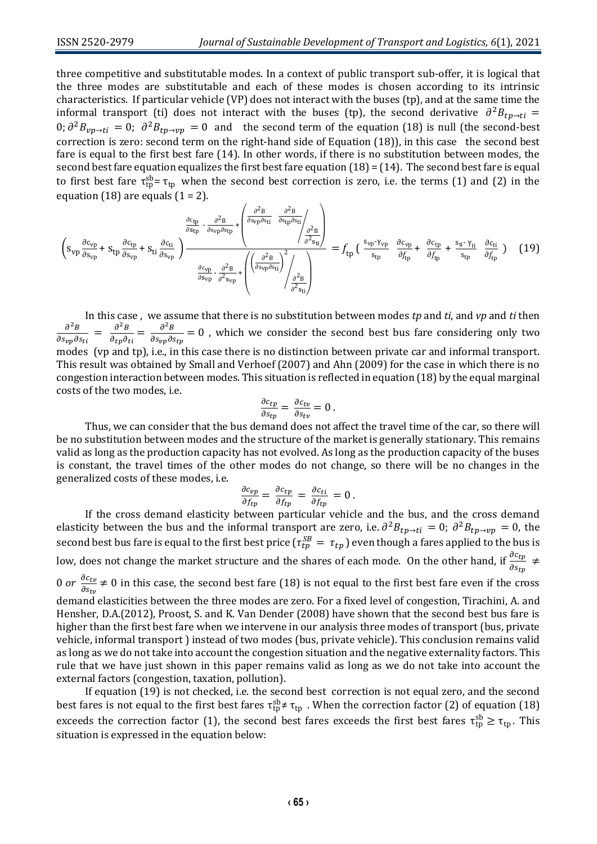three competitive and substitutable modes. In a context of public transport sub-offer, it is logical that the three modes are substitutable and each of these modes is chosen according to its intrinsic characteristics. If particular vehicle (VP) does not interact with the buses (tp), and at the same time the informal transport (ti) does not interact with the buses (tp), the second derivative  $\partial^2 B_{tp\to ti} =$ 0;  $\partial^2 B_{vp\to ti} = 0$ ;  $\partial^2 B_{tp\to vp} = 0$  and the second term of the equation (18) is null (the second-best correction is zero: second term on the right-hand side of Equation (18)), in this case the second best fare is equal to the first best fare (14). In other words, if there is no substitution between modes, the second best fare equation equalizes the first best fare equation (18) = (14). The second best fare is equal to first best fare  $\tau_{tp}^{sb}$  =  $\tau_{tp}$  when the second best correction is zero, i.e. the terms (1) and (2) in the equation (18) are equals  $(1 = 2)$ .

$$
\left(s_{vp}\frac{\partial c_{vp}}{\partial s_{vp}} + s_{tp}\frac{\partial c_{tp}}{\partial s_{vp}} + s_{ti}\frac{\partial c_{ti}}{\partial s_{vp}}\right) \frac{\frac{\partial c_{tp}}{\partial s_{tp}} - \frac{\partial^2 B}{\partial s_{vp}\partial s_{tp}} + \left(\frac{\partial^2 B}{\partial s_{vp}\partial s_{ti}}\frac{\partial^2 B}{\partial s_{tp}\partial s_{ti}}\right)}{\frac{\partial c_{vp}}{\partial s_{vp}} - \frac{\partial^2 B}{\partial^2 s_{vp}} + \left(\frac{\frac{\partial^2 B}{\partial s_{vp}\partial s_{ti}}}{\frac{\partial^2 B}{\partial s_{tp}\partial s_{ti}}}\right)^2}{\frac{\partial c_{vp}}{\partial s_{tp}} + \left(\frac{s_{vp}v_{vp}}{s_{tp}}\frac{\partial c_{vp}}{\partial f_{tp}} + \frac{\partial c_{tp}}{\partial f_{tp}} + \frac{s_{ti}v_{ti}}{s_{tp}}\frac{\partial c_{ti}}{\partial f_{tp}}\right)
$$
(19)

In this case , we assume that there is no substitution between modes *tp* and *ti*, and *vp* and *ti* then  $\partial^2 B$  $\frac{\partial^2 B}{\partial s_{vp} \partial s_{ti}} = \frac{\partial^2 B}{\partial_{tp} \partial_i}$  $\frac{\partial^2 B}{\partial_{tp} \partial_{ti}} = \frac{\partial^2 B}{\partial_{svp} \partial_{sdv}}$  $\frac{\partial B}{\partial s_{vp}\partial s_{tp}}=0$  , which we consider the second best bus fare considering only two modes (vp and tp), i.e., in this case there is no distinction between private car and informal transport. This result was obtained by Small and Verhoef (2007) and Ahn (2009) for the case in which there is no congestion interaction between modes. This situation is reflected in equation (18) by the equal marginal costs of the two modes, i.e.

$$
\frac{\partial c_{tp}}{\partial s_{tp}} = \frac{\partial c_{tv}}{\partial s_{tv}} = 0.
$$

Thus, we can consider that the bus demand does not affect the travel time of the car, so there will be no substitution between modes and the structure of the market is generally stationary. This remains valid as long as the production capacity has not evolved. As long as the production capacity of the buses is constant, the travel times of the other modes do not change, so there will be no changes in the generalized costs of these modes, i.e.

$$
\frac{\partial c_{vp}}{\partial f_{tp}} = \frac{\partial c_{tp}}{\partial f_{tp}} = \frac{\partial c_{ti}}{\partial f_{tp}} = 0.
$$

If the cross demand elasticity between particular vehicle and the bus, and the cross demand elasticity between the bus and the informal transport are zero, i.e.  $\partial^2 B_{tp\to ti} = 0$ ;  $\partial^2 B_{tp\to vp} = 0$ , the second best bus fare is equal to the first best price ( $\tau_{tp}^{SB}=\tau_{tp}$  ) even though a fares applied to the bus is low, does not change the market structure and the shares of each mode. On the other hand, if  $\frac{\partial c_{tp}}{\partial s_{tp}}\neq 0$ 0 or  $\frac{\partial c_{tv}}{\partial s}$  $\frac{\partial c_{tv}}{\partial s_{tv}} \neq 0$  in this case, the second best fare (18) is not equal to the first best fare even if the cross demand elasticities between the three modes are zero. For a fixed level of congestion, Tirachini, A. and Hensher, D.A.(2012), Proost, S. and K. Van Dender (2008) have shown that the second best bus fare is higher than the first best fare when we intervene in our analysis three modes of transport (bus, private vehicle, informal transport ) instead of two modes (bus, private vehicle). This conclusion remains valid as long as we do not take into account the congestion situation and the negative externality factors. This rule that we have just shown in this paper remains valid as long as we do not take into account the external factors (congestion, taxation, pollution).

If equation (19) is not checked, i.e. the second best correction is not equal zero, and the second best fares is not equal to the first best fares  $\tau_{tp}^{sb} \neq \tau_{tp}$  . When the correction factor (2) of equation (18) exceeds the correction factor (1), the second best fares exceeds the first best fares  $\tau_{tp}^{sb} \geq \tau_{tp}$ . This situation is expressed in the equation below: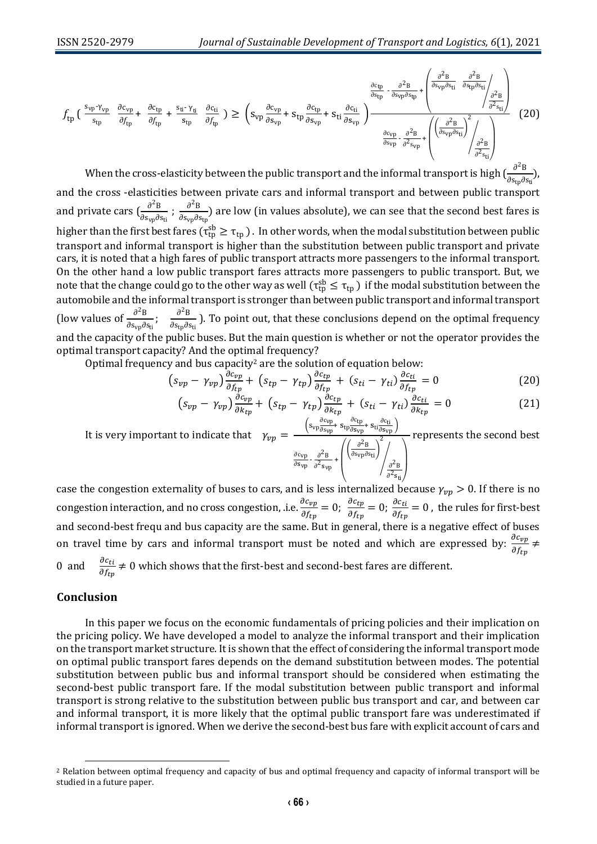$$
f_{\text{tp}} \left( \frac{s_{\text{vp}} \gamma_{\text{vp}}}{s_{\text{tp}}} \frac{\partial c_{\text{vp}}}{\partial f_{\text{tp}}} + \frac{\partial c_{\text{tp}}}{\partial f_{\text{tp}}} + \frac{s_{\text{ti}} \gamma_{\text{ti}}}{s_{\text{tp}}} \frac{\partial c_{\text{ti}}}{\partial f_{\text{tp}}} \right) \ge \left( s_{\text{vp}} \frac{\partial c_{\text{vp}}}{\partial s_{\text{vp}}} + s_{\text{tp}} \frac{\partial c_{\text{tp}}}{\partial s_{\text{vp}}} + s_{\text{ti}} \frac{\partial c_{\text{ti}}}{\partial s_{\text{vp}}} \right) \frac{\frac{\partial c_{\text{tp}}}{\partial s_{\text{vp}}} - \frac{\partial^2 B}{\partial s_{\text{vp}} \partial s_{\text{ti}}}{\frac{\partial^2 B}{\partial s_{\text{vp}}} s_{\text{ti}}} \left( \frac{\frac{\partial^2 B}{\partial s_{\text{tp}} \partial s_{\text{ti}}} \frac{\partial^2 B}{\partial s_{\text{ti}}} \right)}{\frac{\partial^2 B}{\partial s_{\text{vp}}} s_{\text{ti}}} \right) \tag{20}
$$

When the cross-elasticity between the public transport and the informal transport is high  $\left(\frac{\partial^2 B}{\partial x^2}\right)$  $\frac{\partial}{\partial s_{tp} \partial s_{ti}}$ ), and the cross -elasticities between private cars and informal transport and between public transport and private cars  $\left(\frac{\partial^2 B}{\partial r^2}\right)$  $\frac{\partial^2 \mathrm{B}}{\partial \mathrm{s_{vp}} \partial \mathrm{s_{ti}}}$  ;  $\frac{\partial^2 \mathrm{B}}{\partial \mathrm{s_{vp}} \partial \mathrm{s}}$  $\frac{\partial^2 B}{\partial s_{vp}\partial s_{tp}}$ ) are low (in values absolute), we can see that the second best fares is higher than the first best fares ( $\tau_{tp}^{sb} \geq \tau_{tp}$  ). In other words, when the modal substitution between public transport and informal transport is higher than the substitution between public transport and private cars, it is noted that a high fares of public transport attracts more passengers to the informal transport. On the other hand a low public transport fares attracts more passengers to public transport. But, we note that the change could go to the other way as well ( $\tau_{tp}^{sb} \leq \tau_{tp}$  ) if the modal substitution between the automobile and the informal transport is stronger than between public transport and informal transport (low values of  $\frac{\partial^2 B}{\partial x^2}$  $\frac{\partial^2 B}{\partial s_{vp} \partial s_{ti}}$ ;  $\frac{\partial^2 B}{\partial s_{tp} \partial s}$  $\frac{\partial}{\partial s_{tp}\partial s_{ti}}$ ). To point out, that these conclusions depend on the optimal frequency and the capacity of the public buses. But the main question is whether or not the operator provides the optimal transport capacity? And the optimal frequency?

Optimal frequency and bus capacity<sup>2</sup> are the solution of equation below:

$$
\left(s_{vp} - \gamma_{vp}\right) \frac{\partial c_{vp}}{\partial f_{tp}} + \left(s_{tp} - \gamma_{tp}\right) \frac{\partial c_{tp}}{\partial f_{tp}} + \left(s_{ti} - \gamma_{ti}\right) \frac{\partial c_{ti}}{\partial f_{tp}} = 0
$$
\n(20)

$$
(s_{vp} - \gamma_{vp})\frac{\partial c_{vp}}{\partial k_{tp}} + (s_{tp} - \gamma_{tp})\frac{\partial c_{tp}}{\partial k_{tp}} + (s_{ti} - \gamma_{ti})\frac{\partial c_{ti}}{\partial k_{tp}} = 0
$$
\n(21)

It is very important to indicate that  $\gamma_{vp} =$  $\left(\frac{\partial c_{\rm vp}}{\partial s_{\rm em}}\right)$  $\frac{\partial c_{\text{vp}}}{\partial s_{\text{vp}}}$ + S<sub>tp</sub> $\frac{\partial c_{\text{tp}}}{\partial s_{\text{vf}}}$  $\frac{\partial c_{tp}}{\partial s_{vp}}$ + S<sub>ti</sub> $\frac{\partial c_{ti}}{\partial s_{vp}}$  $\partial c_{VD}$  $rac{\partial c_{\text{vp}}}{\partial s_{\text{vp}}}$  -  $rac{\partial^2 B}{\partial^2 s_{\text{v}}}$  $\frac{\partial}{\partial^2 s_{vp}}$  + case the congestion externality of buses to cars, and is less internalized because  $\gamma_{vp} > 0$ . If there is no  $\left(\left(\frac{\partial^2 B}{\partial s_{vp}\partial s_{ti}}\right)$ 2  $\partial^2 B$  $\partial^2 s_{\rm ti}$  $\frac{1}{a^2}$  $\overline{\phantom{a}}$ represents the second best

congestion interaction, and no cross congestion, .i.e.  $\frac{\partial c_{vp}}{\partial f_{tp}} = 0$ ;  $\frac{\partial c_{tp}}{\partial f_{tp}}$  $\frac{\partial c_{tp}}{\partial f_{tp}} = 0; \frac{\partial c_{ti}}{\partial f_{tp}}$  $\frac{\partial c_{ti}}{\partial f_{tp}}$  = 0, the rules for first-best and second-best frequ and bus capacity are the same. But in general, there is a negative effect of buses on travel time by cars and informal transport must be noted and which are expressed by:  $\frac{\partial c_{vp}}{\partial f_{tp}}$   $\neq$ 0 and  $\frac{\partial c_{ti}}{\partial f_{tp}} \neq 0$  which shows that the first-best and second-best fares are different.

### **Conclusion**

 $\overline{\phantom{0}}$ 

In this paper we focus on the economic fundamentals of pricing policies and their implication on the pricing policy. We have developed a model to analyze the informal transport and their implication on the transport market structure. It is shown that the effect of considering the informal transport mode on optimal public transport fares depends on the demand substitution between modes. The potential substitution between public bus and informal transport should be considered when estimating the second-best public transport fare. If the modal substitution between public transport and informal transport is strong relative to the substitution between public bus transport and car, and between car and informal transport, it is more likely that the optimal public transport fare was underestimated if informal transport is ignored. When we derive the second-best bus fare with explicit account of cars and

<sup>2</sup> Relation between optimal frequency and capacity of bus and optimal frequency and capacity of informal transport will be studied in a future paper.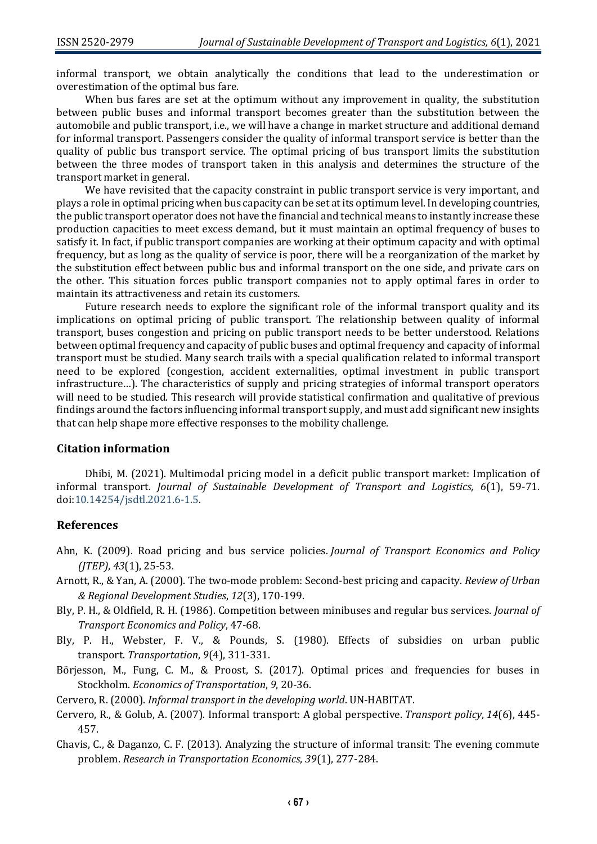informal transport, we obtain analytically the conditions that lead to the underestimation or overestimation of the optimal bus fare.

When bus fares are set at the optimum without any improvement in quality, the substitution between public buses and informal transport becomes greater than the substitution between the automobile and public transport, i.e., we will have a change in market structure and additional demand for informal transport. Passengers consider the quality of informal transport service is better than the quality of public bus transport service. The optimal pricing of bus transport limits the substitution between the three modes of transport taken in this analysis and determines the structure of the transport market in general.

We have revisited that the capacity constraint in public transport service is very important, and plays a role in optimal pricing when bus capacity can be set at its optimum level. In developing countries, the public transport operator does not have the financial and technical means to instantly increase these production capacities to meet excess demand, but it must maintain an optimal frequency of buses to satisfy it. In fact, if public transport companies are working at their optimum capacity and with optimal frequency, but as long as the quality of service is poor, there will be a reorganization of the market by the substitution effect between public bus and informal transport on the one side, and private cars on the other. This situation forces public transport companies not to apply optimal fares in order to maintain its attractiveness and retain its customers.

Future research needs to explore the significant role of the informal transport quality and its implications on optimal pricing of public transport. The relationship between quality of informal transport, buses congestion and pricing on public transport needs to be better understood. Relations between optimal frequency and capacity of public buses and optimal frequency and capacity of informal transport must be studied. Many search trails with a special qualification related to informal transport need to be explored (congestion, accident externalities, optimal investment in public transport infrastructure…). The characteristics of supply and pricing strategies of informal transport operators will need to be studied. This research will provide statistical confirmation and qualitative of previous findings around the factors influencing informal transport supply, and must add significant new insights that can help shape more effective responses to the mobility challenge.

#### **Citation information**

Dhibi, M. (2021). Multimodal pricing model in a deficit public transport market: Implication of informal transport. *Journal of Sustainable Development of Transport and Logistics, 6*(1), 59-71. doi[:10.14254/jsdtl.2021.6-1.5.](https://doi.org/10.14254/jsdtl.2021.6-1.5)

#### **References**

- Ahn, K. (2009). Road pricing and bus service policies. *Journal of Transport Economics and Policy (JTEP)*, *43*(1), 25-53.
- Arnott, R., & Yan, A. (2000). The two-mode problem: Second-best pricing and capacity. *Review of Urban & Regional Development Studies*, *12*(3), 170-199.
- Bly, P. H., & Oldfield, R. H. (1986). Competition between minibuses and regular bus services. *Journal of Transport Economics and Policy*, 47-68.
- Bly, P. H., Webster, F. V., & Pounds, S. (1980). Effects of subsidies on urban public transport. *Transportation*, *9*(4), 311-331.
- Börjesson, M., Fung, C. M., & Proost, S. (2017). Optimal prices and frequencies for buses in Stockholm. *Economics of Transportation*, *9*, 20-36.
- Cervero, R. (2000). *Informal transport in the developing world*. UN-HABITAT.
- Cervero, R., & Golub, A. (2007). Informal transport: A global perspective. *Transport policy*, *14*(6), 445- 457.
- Chavis, C., & Daganzo, C. F. (2013). Analyzing the structure of informal transit: The evening commute problem. *Research in Transportation Economics*, *39*(1), 277-284.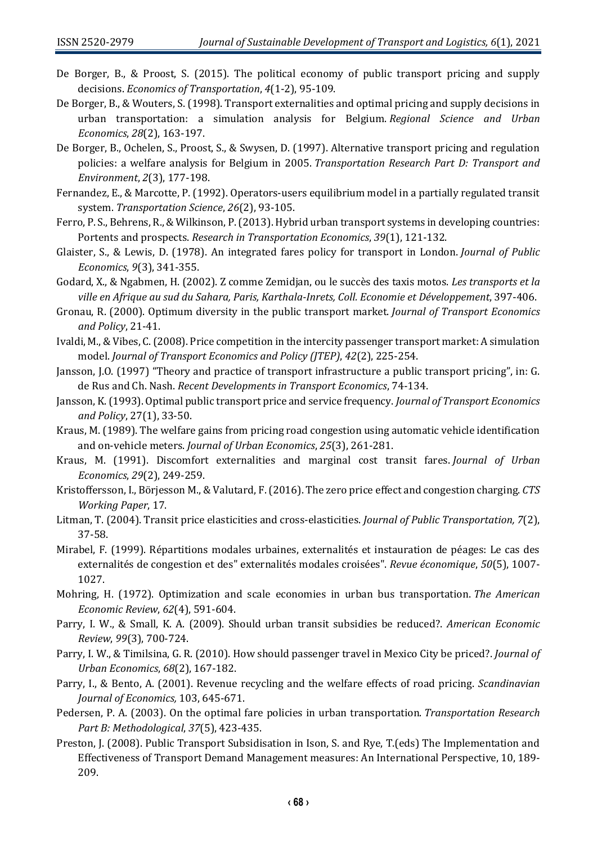- De Borger, B., & Proost, S. (2015). The political economy of public transport pricing and supply decisions. *Economics of Transportation*, *4*(1-2), 95-109.
- De Borger, B., & Wouters, S. (1998). Transport externalities and optimal pricing and supply decisions in urban transportation: a simulation analysis for Belgium. *Regional Science and Urban Economics*, *28*(2), 163-197.
- De Borger, B., Ochelen, S., Proost, S., & Swysen, D. (1997). Alternative transport pricing and regulation policies: a welfare analysis for Belgium in 2005. *Transportation Research Part D: Transport and Environment*, *2*(3), 177-198.
- Fernandez, E., & Marcotte, P. (1992). Operators-users equilibrium model in a partially regulated transit system. *Transportation Science*, *26*(2), 93-105.
- Ferro, P. S., Behrens, R., & Wilkinson, P. (2013). Hybrid urban transport systems in developing countries: Portents and prospects. *Research in Transportation Economics*, *39*(1), 121-132.
- Glaister, S., & Lewis, D. (1978). An integrated fares policy for transport in London. *Journal of Public Economics*, *9*(3), 341-355.
- Godard, X., & Ngabmen, H. (2002). Z comme Zemidjan, ou le succès des taxis motos. *Les transports et la ville en Afrique au sud du Sahara, Paris, Karthala-Inrets, Coll. Economie et Développement*, 397-406.
- Gronau, R. (2000). Optimum diversity in the public transport market. *Journal of Transport Economics and Policy*, 21-41.
- Ivaldi, M., & Vibes, C. (2008). Price competition in the intercity passenger transport market: A simulation model. *Journal of Transport Economics and Policy (JTEP)*, *42*(2), 225-254.
- Jansson, J.O. (1997) "Theory and practice of transport infrastructure a public transport pricing", in: G. de Rus and Ch. Nash. *Recent Developments in Transport Economics*, 74-134.
- Jansson, K. (1993). Optimal public transport price and service frequency. *Journal of Transport Economics and Policy*, 27(1), 33-50.
- Kraus, M. (1989). The welfare gains from pricing road congestion using automatic vehicle identification and on-vehicle meters. *Journal of Urban Economics*, *25*(3), 261-281.
- Kraus, M. (1991). Discomfort externalities and marginal cost transit fares. *Journal of Urban Economics*, *29*(2), 249-259.
- Kristoffersson, I., Börjesson M., & Valutard, F. (2016). The zero price effect and congestion charging. *CTS Working Paper*, 17.
- Litman, T. (2004). Transit price elasticities and cross-elasticities. *Journal of Public Transportation, 7*(2), 37-58.
- Mirabel, F. (1999). Répartitions modales urbaines, externalités et instauration de péages: Le cas des externalités de congestion et des" externalités modales croisées". *Revue économique*, *50*(5), 1007- 1027.
- Mohring, H. (1972). Optimization and scale economies in urban bus transportation. *The American Economic Review*, *62*(4), 591-604.
- Parry, I. W., & Small, K. A. (2009). Should urban transit subsidies be reduced?. *American Economic Review*, *99*(3), 700-724.
- Parry, I. W., & Timilsina, G. R. (2010). How should passenger travel in Mexico City be priced?. *Journal of Urban Economics*, *68*(2), 167-182.
- Parry, I., & Bento, A. (2001). Revenue recycling and the welfare effects of road pricing. *Scandinavian Journal of Economics,* 103, 645-671.
- Pedersen, P. A. (2003). On the optimal fare policies in urban transportation. *Transportation Research Part B: Methodological*, *37*(5), 423-435.
- Preston, J. (2008). Public Transport Subsidisation in Ison, S. and Rye, T.(eds) The Implementation and Effectiveness of Transport Demand Management measures: An International Perspective, 10, 189- 209.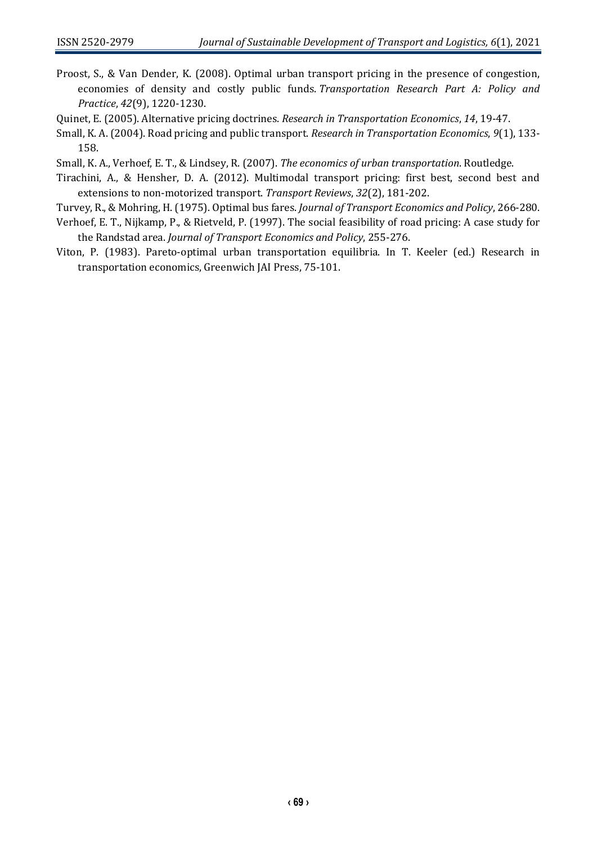- Proost, S., & Van Dender, K. (2008). Optimal urban transport pricing in the presence of congestion, economies of density and costly public funds. *Transportation Research Part A: Policy and Practice*, *42*(9), 1220-1230.
- Quinet, E. (2005). Alternative pricing doctrines. *Research in Transportation Economics*, *14*, 19-47.
- Small, K. A. (2004). Road pricing and public transport. *Research in Transportation Economics*, *9*(1), 133- 158.

Small, K. A., Verhoef, E. T., & Lindsey, R. (2007). *The economics of urban transportation*. Routledge.

- Tirachini, A., & Hensher, D. A. (2012). Multimodal transport pricing: first best, second best and extensions to non-motorized transport. *Transport Reviews*, *32*(2), 181-202.
- Turvey, R., & Mohring, H. (1975). Optimal bus fares. *Journal of Transport Economics and Policy*, 266-280.
- Verhoef, E. T., Nijkamp, P., & Rietveld, P. (1997). The social feasibility of road pricing: A case study for the Randstad area. *Journal of Transport Economics and Policy*, 255-276.
- Viton, P. (1983). Pareto-optimal urban transportation equilibria. In T. Keeler (ed.) Research in transportation economics, Greenwich JAI Press, 75-101.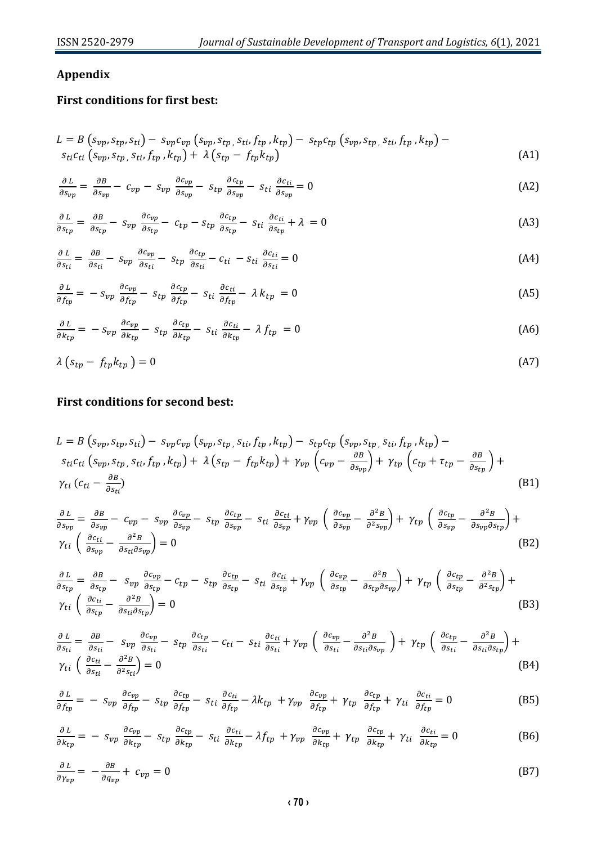## **Appendix**

## **First conditions for first best:**

$$
L = B\left(s_{vp}, s_{tp}, s_{ti}\right) - s_{vp}c_{vp}\left(s_{vp}, s_{tp}, s_{ti}, f_{tp}, k_{tp}\right) - s_{tp}c_{tp}\left(s_{vp}, s_{tp}, s_{ti}, f_{tp}, k_{tp}\right) - s_{ti}c_{ti}\left(s_{vp}, s_{tp}, s_{ti}, f_{tp}, k_{tp}\right) + \lambda\left(s_{tp} - f_{tp}k_{tp}\right)
$$
\n(A1)

$$
\frac{\partial L}{\partial s_{vp}} = \frac{\partial B}{\partial s_{vp}} - c_{vp} - s_{vp} \frac{\partial c_{vp}}{\partial s_{vp}} - s_{tp} \frac{\partial c_{tp}}{\partial s_{vp}} - s_{ti} \frac{\partial c_{ti}}{\partial s_{vp}} = 0
$$
\n(A2)

$$
\frac{\partial L}{\partial s_{tp}} = \frac{\partial B}{\partial s_{tp}} - s_{vp} \frac{\partial c_{vp}}{\partial s_{tp}} - c_{tp} - s_{tp} \frac{\partial c_{tp}}{\partial s_{tp}} - s_{ti} \frac{\partial c_{ti}}{\partial s_{tp}} + \lambda = 0
$$
\n(A3)

$$
\frac{\partial L}{\partial s_{ti}} = \frac{\partial B}{\partial s_{ti}} - s_{vp} \frac{\partial c_{vp}}{\partial s_{ti}} - s_{tp} \frac{\partial c_{tp}}{\partial s_{ti}} - c_{ti} - s_{ti} \frac{\partial c_{ti}}{\partial s_{ti}} = 0
$$
\n(A4)

$$
\frac{\partial L}{\partial f_{tp}} = -s_{vp} \frac{\partial c_{vp}}{\partial f_{tp}} - s_{tp} \frac{\partial c_{tp}}{\partial f_{tp}} - s_{ti} \frac{\partial c_{ti}}{\partial f_{tp}} - \lambda k_{tp} = 0
$$
\n(A5)

$$
\frac{\partial L}{\partial k_{tp}} = -s_{vp} \frac{\partial c_{vp}}{\partial k_{tp}} - s_{tp} \frac{\partial c_{tp}}{\partial k_{tp}} - s_{ti} \frac{\partial c_{ti}}{\partial k_{tp}} - \lambda f_{tp} = 0
$$
\n(A6)

$$
\lambda \left( s_{tp} - f_{tp} k_{tp} \right) = 0 \tag{A7}
$$

### **First conditions for second best:**

$$
L = B\left(s_{vp}, s_{tp}, s_{ti}\right) - s_{vp}c_{vp}\left(s_{vp}, s_{tp}, s_{ti}, f_{tp}, k_{tp}\right) - s_{tp}c_{tp}\left(s_{vp}, s_{tp}, s_{ti}, f_{tp}, k_{tp}\right) -s_{ti}c_{ti}\left(s_{vp}, s_{tp}, s_{ti}, f_{tp}, k_{tp}\right) + \lambda\left(s_{tp} - f_{tp}k_{tp}\right) + \gamma_{vp}\left(c_{vp} - \frac{\partial B}{\partial s_{vp}}\right) + \gamma_{tp}\left(c_{tp} + \tau_{tp} - \frac{\partial B}{\partial s_{tp}}\right) +\gamma_{ti}\left(c_{ti} - \frac{\partial B}{\partial s_{ti}}\right)
$$
\n(B1)

$$
\frac{\partial L}{\partial s_{vp}} = \frac{\partial B}{\partial s_{vp}} - c_{vp} - s_{vp} \frac{\partial c_{vp}}{\partial s_{vp}} - s_{tp} \frac{\partial c_{tp}}{\partial s_{vp}} - s_{ti} \frac{\partial c_{ti}}{\partial s_{vp}} + \gamma_{vp} \left( \frac{\partial c_{vp}}{\partial s_{vp}} - \frac{\partial^2 B}{\partial^2 s_{vp}} \right) + \gamma_{tp} \left( \frac{\partial c_{tp}}{\partial s_{vp}} - \frac{\partial^2 B}{\partial s_{vp} \partial s_{tp}} \right) + \gamma_{ti} \left( \frac{\partial c_{ti}}{\partial s_{vp}} - \frac{\partial^2 B}{\partial s_{tv} \partial s_{tp}} \right) = 0
$$
\n(B2)

$$
\frac{\partial L}{\partial s_{tp}} = \frac{\partial B}{\partial s_{tp}} - s_{vp} \frac{\partial c_{vp}}{\partial s_{tp}} - c_{tp} - s_{tp} \frac{\partial c_{tp}}{\partial s_{tp}} - s_{ti} \frac{\partial c_{ti}}{\partial s_{tp}} + \gamma_{vp} \left( \frac{\partial c_{vp}}{\partial s_{tp}} - \frac{\partial^2 B}{\partial s_{tp} \partial s_{vp}} \right) + \gamma_{tp} \left( \frac{\partial c_{tp}}{\partial s_{tp}} - \frac{\partial^2 B}{\partial^2 s_{tp}} \right) + \gamma_{ti} \left( \frac{\partial c_{tp}}{\partial s_{tp}} - \frac{\partial^2 B}{\partial s_{ti} \partial s_{tp}} \right) = 0
$$
\n(B3)

$$
\frac{\partial L}{\partial s_{ti}} = \frac{\partial B}{\partial s_{ti}} - s_{vp} \frac{\partial c_{vp}}{\partial s_{ti}} - s_{tp} \frac{\partial c_{tp}}{\partial s_{ti}} - c_{ti} - s_{ti} \frac{\partial c_{ti}}{\partial s_{ti}} + \gamma_{vp} \left( \frac{\partial c_{vp}}{\partial s_{ti}} - \frac{\partial^2 B}{\partial s_{ti} \partial s_{vp}} \right) + \gamma_{tp} \left( \frac{\partial c_{tp}}{\partial s_{ti}} - \frac{\partial^2 B}{\partial s_{ti} \partial s_{tp}} \right) + \gamma_{ti} \left( \frac{\partial c_{ti}}{\partial s_{ti}} - \frac{\partial^2 B}{\partial s_{ti} \partial s_{tp}} \right) = 0
$$
\n(B4)

$$
\frac{\partial L}{\partial f_{tp}} = -S_{vp} \frac{\partial c_{vp}}{\partial f_{tp}} - S_{tp} \frac{\partial c_{tp}}{\partial f_{tp}} - S_{ti} \frac{\partial c_{ti}}{\partial f_{tp}} - \lambda k_{tp} + \gamma_{vp} \frac{\partial c_{vp}}{\partial f_{tp}} + \gamma_{tp} \frac{\partial c_{tp}}{\partial f_{tp}} + \gamma_{ti} \frac{\partial c_{ti}}{\partial f_{tp}} = 0
$$
(B5)

$$
\frac{\partial L}{\partial k_{tp}} = -S_{vp} \frac{\partial c_{vp}}{\partial k_{tp}} - S_{tp} \frac{\partial c_{tp}}{\partial k_{tp}} - S_{ti} \frac{\partial c_{ti}}{\partial k_{tp}} - \lambda f_{tp} + \gamma_{vp} \frac{\partial c_{vp}}{\partial k_{tp}} + \gamma_{tp} \frac{\partial c_{tp}}{\partial k_{tp}} + \gamma_{ti} \frac{\partial c_{ti}}{\partial k_{tp}} = 0
$$
(B6)

$$
\frac{\partial L}{\partial \gamma_{vp}} = -\frac{\partial B}{\partial q_{vp}} + c_{vp} = 0 \tag{B7}
$$